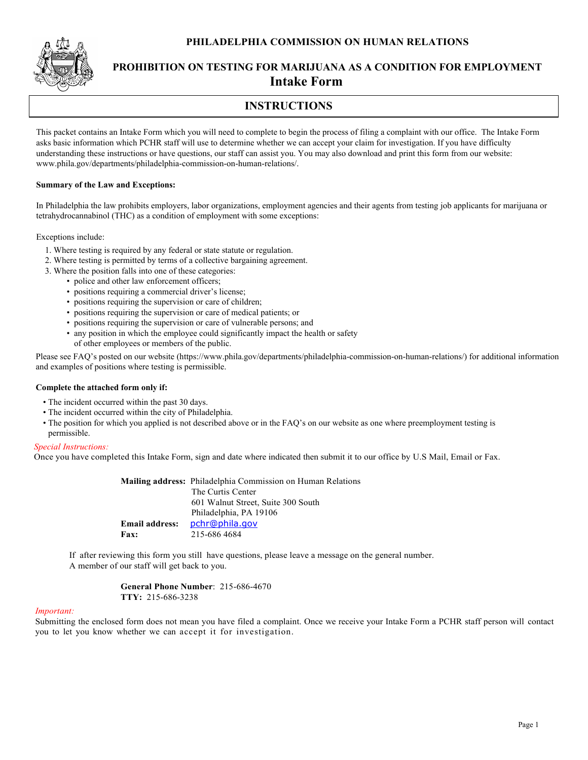### **PHILADELPHIA COMMISSION ON HUMAN RELATIONS**



# **PROHIBITION ON TESTING FOR MARIJUANA AS A CONDITION FOR EMPLOYMENT Intake Form**

# **INSTRUCTIONS**

This packet contains an Intake Form which you will need to complete to begin the process of filing a complaint with our office. The Intake Form asks basic information which PCHR staff will use to determine whether we can accept your claim for investigation. If you have difficulty understanding these instructions or have questions, our staff can assist you. You may also download and print this form from our website: www.phila.gov/departments/philadelphia-commission-on-human-relations/.

### **Summary of the Law and Exceptions:**

In Philadelphia the law prohibits employers, labor organizations, employment agencies and their agents from testing job applicants for marijuana or tetrahydrocannabinol (THC) as a condition of employment with some exceptions:

Exceptions include:

- 1. Where testing is required by any federal or state statute or regulation.
- 2. Where testing is permitted by terms of a collective bargaining agreement.
- 3. Where the position falls into one of these categories:
	- police and other law enforcement officers;
	- positions requiring a commercial driver's license;
	- positions requiring the supervision or care of children;
	- positions requiring the supervision or care of medical patients; or
	- positions requiring the supervision or care of vulnerable persons; and
	- any position in which the employee could significantly impact the health or safety of other employees or members of the public.

Please see FAQ's posted on our website (https://www.phila.gov/departments/philadelphia-commission-on-human-relations/) for additional information and examples of positions where testing is permissible.

#### **Complete the attached form only if:**

- The incident occurred within the past 30 days.
- The incident occurred within the city of Philadelphia.
- The position for which you applied is not described above or in the FAQ's on our website as one where preemployment testing is permissible.

#### *Special Instructions:*

Once you have completed this Intake Form, sign and date where indicated then submit it to our office by U.S Mail, Email or Fax.

|                       | Mailing address: Philadelphia Commission on Human Relations |
|-----------------------|-------------------------------------------------------------|
|                       | The Curtis Center                                           |
|                       | 601 Walnut Street, Suite 300 South                          |
|                       | Philadelphia, PA 19106                                      |
| <b>Email address:</b> | pchr@phila.gov                                              |
| <b>Fax:</b>           | 215-686 4684                                                |

If after reviewing this form you still have questions, please leave a message on the general number. A member of our staff will get back to you.

> **General Phone Number**: 215-686-4670 **TTY:** 215-686-3238

#### *Important:*

Submitting the enclosed form does not mean you have filed a complaint. Once we receive your Intake Form a PCHR staff person will contact you to let you know whether we can accept it for investigation.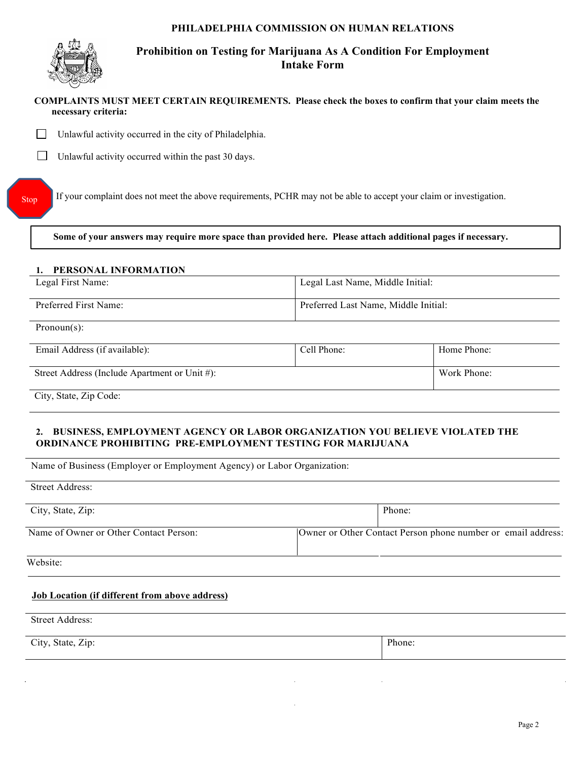## **PHILADELPHIA COMMISSION ON HUMAN RELATIONS**



# **Prohibition on Testing for Marijuana As A Condition For Employment Intake Form**

## **COMPLAINTS MUST MEET CERTAIN REQUIREMENTS. Please check the boxes to confirm that your claim meets the necessary criteria:**

 $\Box$ Unlawful activity occurred in the city of Philadelphia.

 $\Box$ Unlawful activity occurred within the past 30 days.

If your complaint does not meet the above requirements, PCHR may not be able to accept your claim or investigation.

**Some of your answers may require more space than provided here. Please attach additional pages if necessary.**

### **1. PERSONAL INFORMATION**

| Legal First Name:     | Legal Last Name, Middle Initial:     |
|-----------------------|--------------------------------------|
| Preferred First Name: | Preferred Last Name, Middle Initial: |

Pronoun(s):

Stop

| Email Address (if available):                 | Cell Phone: | Home Phone: |
|-----------------------------------------------|-------------|-------------|
| Street Address (Include Apartment or Unit #): |             | Work Phone: |
|                                               |             |             |

City, State, Zip Code:

## **2. BUSINESS, EMPLOYMENT AGENCY OR LABOR ORGANIZATION YOU BELIEVE VIOLATED THE ORDINANCE PROHIBITING PRE-EMPLOYMENT TESTING FOR MARIJUANA**

Name of Business (Employer or Employment Agency) or Labor Organization:

| Street Address:                        |                                                              |
|----------------------------------------|--------------------------------------------------------------|
| City, State, Zip:                      | Phone:                                                       |
| Name of Owner or Other Contact Person: | Owner or Other Contact Person phone number or email address: |
| Website:                               |                                                              |

## **Job Location (if different from above address)**

Street Address:

City, State, Zip: Phone: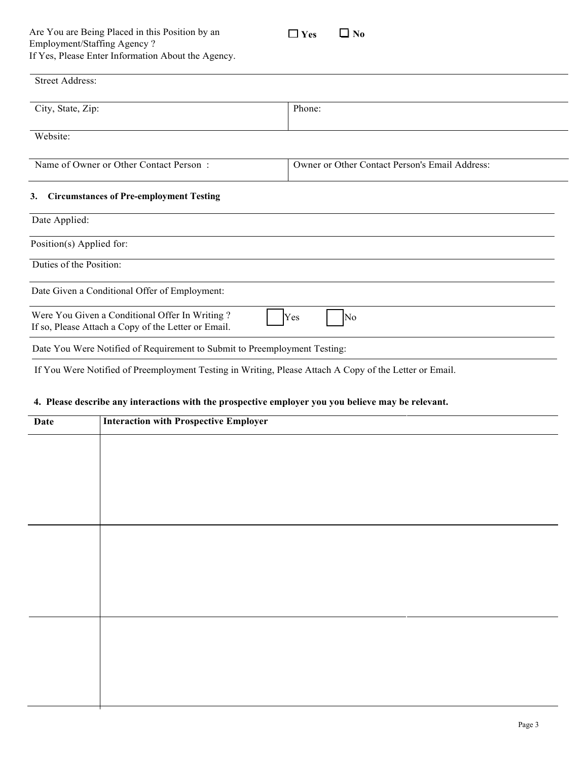

| <b>Street Address:</b>                                                                                |                                                |
|-------------------------------------------------------------------------------------------------------|------------------------------------------------|
| City, State, Zip:                                                                                     | Phone:                                         |
| Website:                                                                                              |                                                |
| Name of Owner or Other Contact Person:                                                                | Owner or Other Contact Person's Email Address: |
| <b>Circumstances of Pre-employment Testing</b><br>3.<br>Date Applied:                                 |                                                |
| Position(s) Applied for:                                                                              |                                                |
| Duties of the Position:                                                                               |                                                |
| Date Given a Conditional Offer of Employment:                                                         |                                                |
| Were You Given a Conditional Offer In Writing?<br>If so, Please Attach a Copy of the Letter or Email. | Yes<br>No                                      |
| Date You Were Notified of Requirement to Submit to Preemployment Testing:                             |                                                |

If You Were Notified of Preemployment Testing in Writing, Please Attach A Copy of the Letter or Email.

## **4. Please describe any interactions with the prospective employer you you believe may be relevant.**

| <b>Date</b> | <b>Interaction with Prospective Employer</b> |
|-------------|----------------------------------------------|
|             |                                              |
|             |                                              |
|             |                                              |
|             |                                              |
|             |                                              |
|             |                                              |
|             |                                              |
|             |                                              |
|             |                                              |
|             |                                              |
|             |                                              |
|             |                                              |